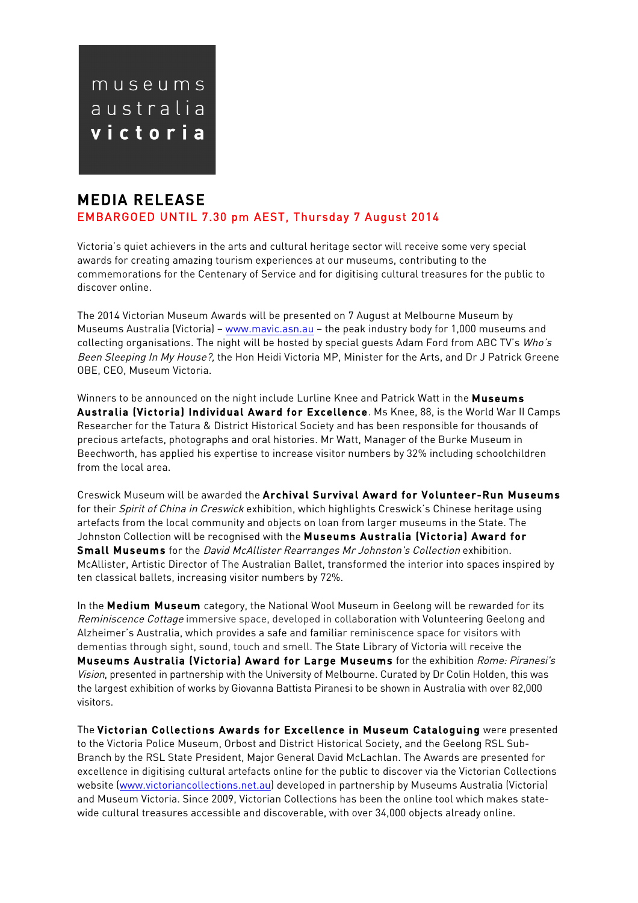

# MEDIA RELEASE EMBARGOED UNTIL 7.30 pm AEST, Thursday 7 August 2014

 $\begin{array}{c} \hline \end{array}$ 

Victoria's quiet achievers in the arts and cultural heritage sector will receive some very special awards for creating amazing tourism experiences at our museums, contributing to the commemorations for the Centenary of Service and for digitising cultural treasures for the public to discover online.

The 2014 Victorian Museum Awards will be presented on 7 August at Melbourne Museum by Museums Australia (Victoria) – www.mavic.asn.au – the peak industry body for 1,000 museums and collecting organisations. The night will be hosted by special guests Adam Ford from ABC TV's Who's Been Sleeping In My House?, the Hon Heidi Victoria MP, Minister for the Arts, and Dr J Patrick Greene OBE, CEO, Museum Victoria.

Winners to be announced on the night include Lurline Knee and Patrick Watt in the Museums Australia (Victoria) Individual Award for Excellence. Ms Knee, 88, is the World War II Camps Researcher for the Tatura & District Historical Society and has been responsible for thousands of precious artefacts, photographs and oral histories. Mr Watt, Manager of the Burke Museum in Beechworth, has applied his expertise to increase visitor numbers by 32% including schoolchildren from the local area.

Creswick Museum will be awarded the Archival Survival Award for Volunteer-Run Museums for their Spirit of China in Creswick exhibition, which highlights Creswick's Chinese heritage using artefacts from the local community and objects on loan from larger museums in the State. The Johnston Collection will be recognised with the Museums Australia (Victoria) Award for Small Museums for the David McAllister Rearranges Mr Johnston's Collection exhibition. McAllister, Artistic Director of The Australian Ballet, transformed the interior into spaces inspired by ten classical ballets, increasing visitor numbers by 72%.

In the Medium Museum category, the National Wool Museum in Geelong will be rewarded for its Reminiscence Cottage immersive space, developed in collaboration with Volunteering Geelong and Alzheimer's Australia, which provides a safe and familiar reminiscence space for visitors with dementias through sight, sound, touch and smell. The State Library of Victoria will receive the Museums Australia (Victoria) Award for Large Museums for the exhibition Rome: Piranesi's Vision, presented in partnership with the University of Melbourne. Curated by Dr Colin Holden, this was the largest exhibition of works by Giovanna Battista Piranesi to be shown in Australia with over 82,000 visitors.

The Victorian Collections Awards for Excellence in Museum Cataloguing were presented to the Victoria Police Museum, Orbost and District Historical Society, and the Geelong RSL Sub-Branch by the RSL State President, Major General David McLachlan. The Awards are presented for excellence in digitising cultural artefacts online for the public to discover via the Victorian Collections website (www.victoriancollections.net.au) developed in partnership by Museums Australia (Victoria) and Museum Victoria. Since 2009, Victorian Collections has been the online tool which makes statewide cultural treasures accessible and discoverable, with over 34,000 objects already online.